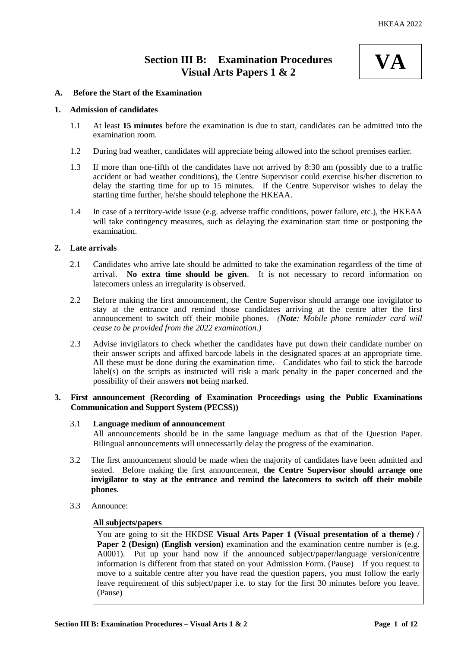# **Section III B: Examination Procedures Visual Arts Papers 1 & 2**



### **A. Before the Start of the Examination**

#### **1. Admission of candidates**

- 1.1 At least **15 minutes** before the examination is due to start, candidates can be admitted into the examination room.
- 1.2 During bad weather, candidates will appreciate being allowed into the school premises earlier.
- 1.3 If more than one-fifth of the candidates have not arrived by 8:30 am (possibly due to a traffic accident or bad weather conditions), the Centre Supervisor could exercise his/her discretion to delay the starting time for up to 15 minutes. If the Centre Supervisor wishes to delay the starting time further, he/she should telephone the HKEAA.
- 1.4 In case of a territory-wide issue (e.g. adverse traffic conditions, power failure, etc.), the HKEAA will take contingency measures, such as delaying the examination start time or postponing the examination.

### **2. Late arrivals**

- 2.1 Candidates who arrive late should be admitted to take the examination regardless of the time of arrival. **No extra time should be given**. It is not necessary to record information on latecomers unless an irregularity is observed.
- 2.2 Before making the first announcement, the Centre Supervisor should arrange one invigilator to stay at the entrance and remind those candidates arriving at the centre after the first announcement to switch off their mobile phones. *(Note: Mobile phone reminder card will cease to be provided from the 2022 examination.)*
- 2.3 Advise invigilators to check whether the candidates have put down their candidate number on their answer scripts and affixed barcode labels in the designated spaces at an appropriate time. All these must be done during the examination time. Candidates who fail to stick the barcode label(s) on the scripts as instructed will risk a mark penalty in the paper concerned and the possibility of their answers **not** being marked.

### **3. First announcement (Recording of Examination Proceedings using the Public Examinations Communication and Support System (PECSS))**

# 3.1 **Language medium of announcement**

All announcements should be in the same language medium as that of the Question Paper. Bilingual announcements will unnecessarily delay the progress of the examination.

- 3.2 The first announcement should be made when the majority of candidates have been admitted and seated. Before making the first announcement, **the Centre Supervisor should arrange one invigilator to stay at the entrance and remind the latecomers to switch off their mobile phones**.
- 3.3 Announce:

#### **All subjects/papers**

You are going to sit the HKDSE **Visual Arts Paper 1 (Visual presentation of a theme) / Paper 2 (Design) (English version)** examination and the examination centre number is (e.g. A0001). Put up your hand now if the announced subject/paper/language version/centre information is different from that stated on your Admission Form. (Pause) If you request to move to a suitable centre after you have read the question papers, you must follow the early leave requirement of this subject/paper i.e. to stay for the first 30 minutes before you leave. (Pause)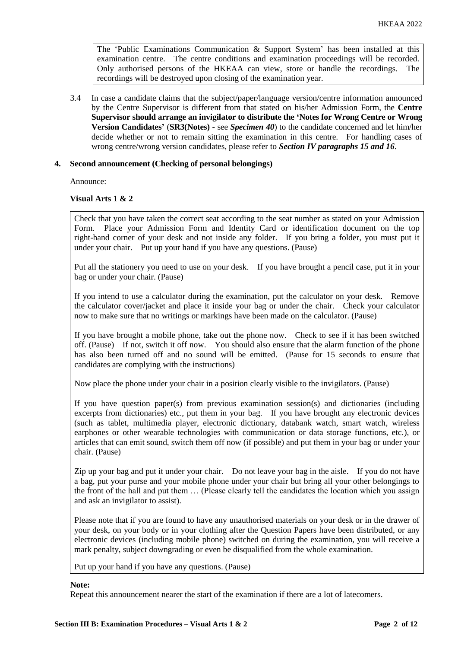The 'Public Examinations Communication  $\&$  Support System' has been installed at this examination centre. The centre conditions and examination proceedings will be recorded. Only authorised persons of the HKEAA can view, store or handle the recordings. The recordings will be destroyed upon closing of the examination year.

3.4 In case a candidate claims that the subject/paper/language version/centre information announced by the Centre Supervisor is different from that stated on his/her Admission Form, the **Centre Supervisor should arrange an invigilator to distribute the 'Notes for Wrong Centre or Wrong Version Candidates'** (**SR3(Notes) -** see *Specimen 40*) to the candidate concerned and let him/her decide whether or not to remain sitting the examination in this centre. For handling cases of wrong centre/wrong version candidates, please refer to *Section IV paragraphs 15 and 16*.

### **4. Second announcement (Checking of personal belongings)**

Announce:

### **Visual Arts 1 & 2**

Check that you have taken the correct seat according to the seat number as stated on your Admission Form. Place your Admission Form and Identity Card or identification document on the top right-hand corner of your desk and not inside any folder. If you bring a folder, you must put it under your chair. Put up your hand if you have any questions. (Pause)

Put all the stationery you need to use on your desk. If you have brought a pencil case, put it in your bag or under your chair. (Pause)

If you intend to use a calculator during the examination, put the calculator on your desk. Remove the calculator cover/jacket and place it inside your bag or under the chair. Check your calculator now to make sure that no writings or markings have been made on the calculator. (Pause)

If you have brought a mobile phone, take out the phone now. Check to see if it has been switched off. (Pause) If not, switch it off now. You should also ensure that the alarm function of the phone has also been turned off and no sound will be emitted. (Pause for 15 seconds to ensure that candidates are complying with the instructions)

Now place the phone under your chair in a position clearly visible to the invigilators. (Pause)

If you have question paper(s) from previous examination session(s) and dictionaries (including excerpts from dictionaries) etc., put them in your bag. If you have brought any electronic devices (such as tablet, multimedia player, electronic dictionary, databank watch, smart watch, wireless earphones or other wearable technologies with communication or data storage functions, etc.), or articles that can emit sound, switch them off now (if possible) and put them in your bag or under your chair. (Pause)

Zip up your bag and put it under your chair. Do not leave your bag in the aisle. If you do not have a bag, put your purse and your mobile phone under your chair but bring all your other belongings to the front of the hall and put them … (Please clearly tell the candidates the location which you assign and ask an invigilator to assist).

Please note that if you are found to have any unauthorised materials on your desk or in the drawer of your desk, on your body or in your clothing after the Question Papers have been distributed, or any electronic devices (including mobile phone) switched on during the examination, you will receive a mark penalty, subject downgrading or even be disqualified from the whole examination.

Put up your hand if you have any questions. (Pause)

#### **Note:**

Repeat this announcement nearer the start of the examination if there are a lot of latecomers.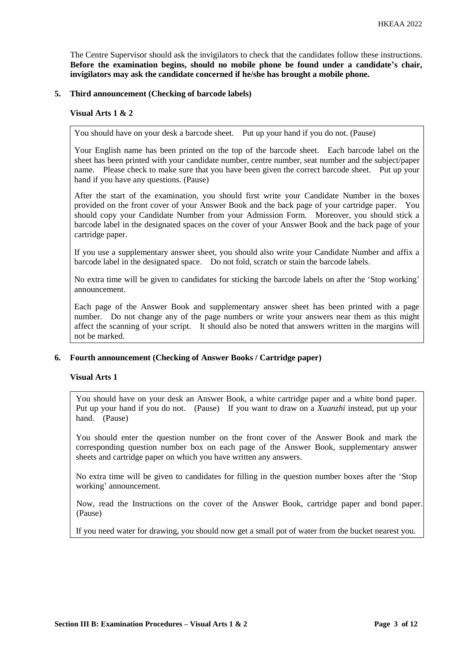The Centre Supervisor should ask the invigilators to check that the candidates follow these instructions. **Before the examination begins, should no mobile phone be found under a candidate's chair, invigilators may ask the candidate concerned if he/she has brought a mobile phone.**

### **5. Third announcement (Checking of barcode labels)**

#### **Visual Arts 1 & 2**

You should have on your desk a barcode sheet. Put up your hand if you do not. (Pause)

Your English name has been printed on the top of the barcode sheet. Each barcode label on the sheet has been printed with your candidate number, centre number, seat number and the subject/paper name. Please check to make sure that you have been given the correct barcode sheet. Put up your hand if you have any questions. (Pause)

After the start of the examination, you should first write your Candidate Number in the boxes provided on the front cover of your Answer Book and the back page of your cartridge paper. You should copy your Candidate Number from your Admission Form. Moreover, you should stick a barcode label in the designated spaces on the cover of your Answer Book and the back page of your cartridge paper.

If you use a supplementary answer sheet, you should also write your Candidate Number and affix a barcode label in the designated space. Do not fold, scratch or stain the barcode labels.

No extra time will be given to candidates for sticking the barcode labels on after the 'Stop working' announcement.

Each page of the Answer Book and supplementary answer sheet has been printed with a page number. Do not change any of the page numbers or write your answers near them as this might affect the scanning of your script. It should also be noted that answers written in the margins will not be marked.

# **6. Fourth announcement (Checking of Answer Books / Cartridge paper)**

### **Visual Arts 1**

You should have on your desk an Answer Book, a white cartridge paper and a white bond paper. Put up your hand if you do not. (Pause) If you want to draw on a *Xuanzhi* instead, put up your hand. (Pause)

You should enter the question number on the front cover of the Answer Book and mark the corresponding question number box on each page of the Answer Book, supplementary answer sheets and cartridge paper on which you have written any answers.

No extra time will be given to candidates for filling in the question number boxes after the 'Stop working' announcement.

Now, read the Instructions on the cover of the Answer Book, cartridge paper and bond paper. (Pause)

If you need water for drawing, you should now get a small pot of water from the bucket nearest you.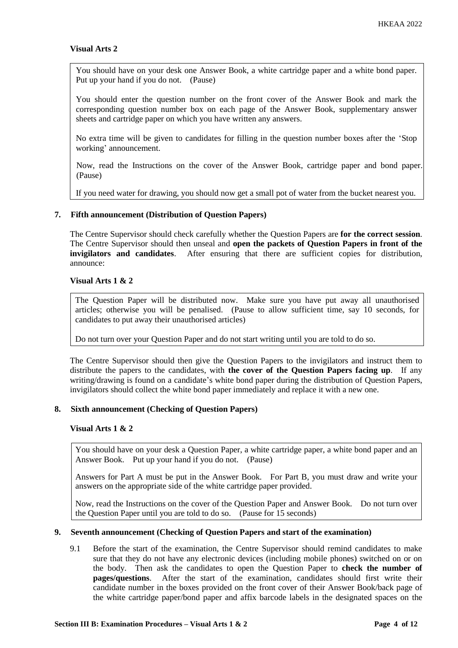### **Visual Arts 2**

You should have on your desk one Answer Book, a white cartridge paper and a white bond paper. Put up your hand if you do not. (Pause)

You should enter the question number on the front cover of the Answer Book and mark the corresponding question number box on each page of the Answer Book, supplementary answer sheets and cartridge paper on which you have written any answers.

No extra time will be given to candidates for filling in the question number boxes after the 'Stop working' announcement.

Now, read the Instructions on the cover of the Answer Book, cartridge paper and bond paper. (Pause)

If you need water for drawing, you should now get a small pot of water from the bucket nearest you.

### **7. Fifth announcement (Distribution of Question Papers)**

The Centre Supervisor should check carefully whether the Question Papers are **for the correct session**. The Centre Supervisor should then unseal and **open the packets of Question Papers in front of the invigilators and candidates**. After ensuring that there are sufficient copies for distribution, announce:

### **Visual Arts 1 & 2**

The Question Paper will be distributed now. Make sure you have put away all unauthorised articles; otherwise you will be penalised. (Pause to allow sufficient time, say 10 seconds, for candidates to put away their unauthorised articles)

Do not turn over your Question Paper and do not start writing until you are told to do so.

The Centre Supervisor should then give the Question Papers to the invigilators and instruct them to distribute the papers to the candidates, with **the cover of the Question Papers facing up**. If any writing/drawing is found on a candidate's white bond paper during the distribution of Question Papers, invigilators should collect the white bond paper immediately and replace it with a new one.

#### **8. Sixth announcement (Checking of Question Papers)**

#### **Visual Arts 1 & 2**

You should have on your desk a Question Paper, a white cartridge paper, a white bond paper and an Answer Book. Put up your hand if you do not. (Pause)

Answers for Part A must be put in the Answer Book. For Part B, you must draw and write your answers on the appropriate side of the white cartridge paper provided.

Now, read the Instructions on the cover of the Question Paper and Answer Book. Do not turn over the Question Paper until you are told to do so. (Pause for 15 seconds)

#### **9. Seventh announcement (Checking of Question Papers and start of the examination)**

9.1 Before the start of the examination, the Centre Supervisor should remind candidates to make sure that they do not have any electronic devices (including mobile phones) switched on or on the body. Then ask the candidates to open the Question Paper to **check the number of pages/questions**. After the start of the examination, candidates should first write their candidate number in the boxes provided on the front cover of their Answer Book/back page of the white cartridge paper/bond paper and affix barcode labels in the designated spaces on the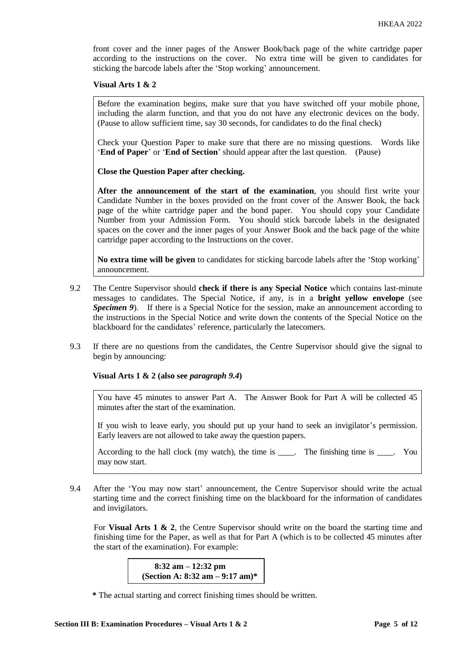front cover and the inner pages of the Answer Book/back page of the white cartridge paper according to the instructions on the cover. No extra time will be given to candidates for sticking the barcode labels after the 'Stop working' announcement.

#### **Visual Arts 1 & 2**

Before the examination begins, make sure that you have switched off your mobile phone, including the alarm function, and that you do not have any electronic devices on the body. (Pause to allow sufficient time, say 30 seconds, for candidates to do the final check)

Check your Question Paper to make sure that there are no missing questions. Words like '**End of Paper**' or '**End of Section**' should appear after the last question. (Pause)

**Close the Question Paper after checking.**

**After the announcement of the start of the examination**, you should first write your Candidate Number in the boxes provided on the front cover of the Answer Book, the back page of the white cartridge paper and the bond paper. You should copy your Candidate Number from your Admission Form. You should stick barcode labels in the designated spaces on the cover and the inner pages of your Answer Book and the back page of the white cartridge paper according to the Instructions on the cover.

**No extra time will be given** to candidates for sticking barcode labels after the 'Stop working' announcement.

- 9.2 The Centre Supervisor should **check if there is any Special Notice** which contains last-minute messages to candidates. The Special Notice, if any, is in a **bright yellow envelope** (see *Specimen 9*). If there is a Special Notice for the session, make an announcement according to the instructions in the Special Notice and write down the contents of the Special Notice on the blackboard for the candidates' reference, particularly the latecomers.
- 9.3 If there are no questions from the candidates, the Centre Supervisor should give the signal to begin by announcing:

**Visual Arts 1 & 2 (also see** *paragraph 9.4***)**

You have 45 minutes to answer Part A. The Answer Book for Part A will be collected 45 minutes after the start of the examination.

If you wish to leave early, you should put up your hand to seek an invigilator's permission. Early leavers are not allowed to take away the question papers.

According to the hall clock (my watch), the time is \_\_\_\_. The finishing time is \_\_\_\_. You may now start.

9.4 After the 'You may now start' announcement, the Centre Supervisor should write the actual starting time and the correct finishing time on the blackboard for the information of candidates and invigilators.

For **Visual Arts 1 & 2**, the Centre Supervisor should write on the board the starting time and finishing time for the Paper, as well as that for Part A (which is to be collected 45 minutes after the start of the examination). For example:

> **8:32 am – 12:32 pm (Section A: 8:32 am – 9:17 am)\***

**<sup>\*</sup>** The actual starting and correct finishing times should be written.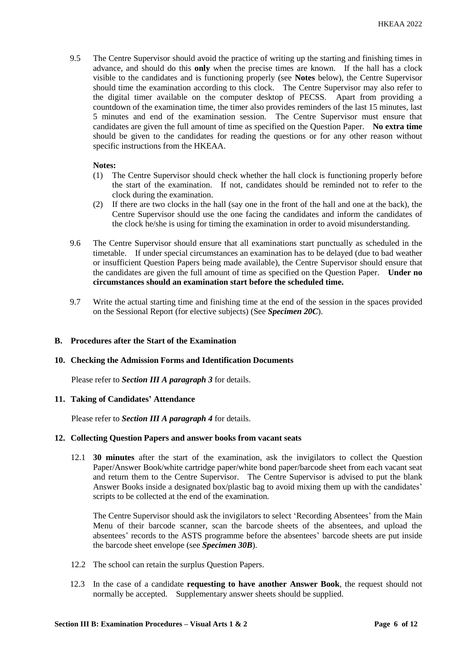9.5 The Centre Supervisor should avoid the practice of writing up the starting and finishing times in advance, and should do this **only** when the precise times are known. If the hall has a clock visible to the candidates and is functioning properly (see **Notes** below), the Centre Supervisor should time the examination according to this clock. The Centre Supervisor may also refer to the digital timer available on the computer desktop of PECSS. Apart from providing a countdown of the examination time, the timer also provides reminders of the last 15 minutes, last 5 minutes and end of the examination session. The Centre Supervisor must ensure that candidates are given the full amount of time as specified on the Question Paper. **No extra time** should be given to the candidates for reading the questions or for any other reason without specific instructions from the HKEAA.

### **Notes:**

- (1) The Centre Supervisor should check whether the hall clock is functioning properly before the start of the examination. If not, candidates should be reminded not to refer to the clock during the examination.
- (2) If there are two clocks in the hall (say one in the front of the hall and one at the back), the Centre Supervisor should use the one facing the candidates and inform the candidates of the clock he/she is using for timing the examination in order to avoid misunderstanding.
- 9.6 The Centre Supervisor should ensure that all examinations start punctually as scheduled in the timetable. If under special circumstances an examination has to be delayed (due to bad weather or insufficient Question Papers being made available), the Centre Supervisor should ensure that the candidates are given the full amount of time as specified on the Question Paper. **Under no circumstances should an examination start before the scheduled time.**
- 9.7 Write the actual starting time and finishing time at the end of the session in the spaces provided on the Sessional Report (for elective subjects) (See *Specimen 20C*).

## **B. Procedures after the Start of the Examination**

#### **10. Checking the Admission Forms and Identification Documents**

Please refer to *Section III A paragraph 3* for details.

#### **11. Taking of Candidates' Attendance**

Please refer to *Section III A paragraph 4* for details.

#### **12. Collecting Question Papers and answer books from vacant seats**

12.1 **30 minutes** after the start of the examination, ask the invigilators to collect the Question Paper/Answer Book/white cartridge paper/white bond paper/barcode sheet from each vacant seat and return them to the Centre Supervisor. The Centre Supervisor is advised to put the blank Answer Books inside a designated box/plastic bag to avoid mixing them up with the candidates' scripts to be collected at the end of the examination.

The Centre Supervisor should ask the invigilators to select 'Recording Absentees' from the Main Menu of their barcode scanner, scan the barcode sheets of the absentees, and upload the absentees' records to the ASTS programme before the absentees' barcode sheets are put inside the barcode sheet envelope (see *Specimen 30B*).

- 12.2 The school can retain the surplus Question Papers.
- 12.3 In the case of a candidate **requesting to have another Answer Book**, the request should not normally be accepted. Supplementary answer sheets should be supplied.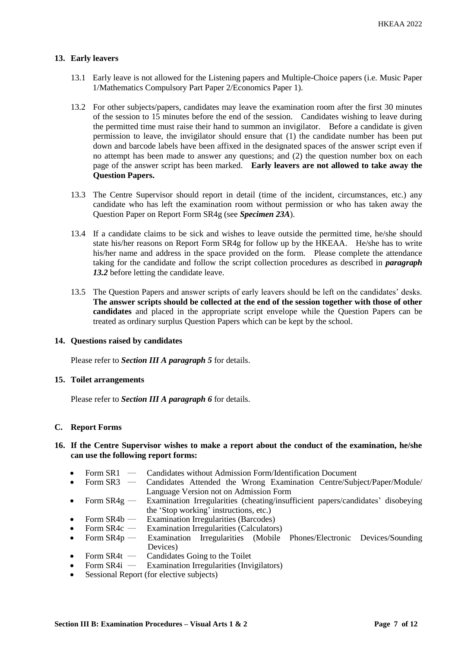# **13. Early leavers**

- 13.1 Early leave is not allowed for the Listening papers and Multiple-Choice papers (i.e. Music Paper 1/Mathematics Compulsory Part Paper 2/Economics Paper 1).
- 13.2 For other subjects/papers, candidates may leave the examination room after the first 30 minutes of the session to 15 minutes before the end of the session. Candidates wishing to leave during the permitted time must raise their hand to summon an invigilator. Before a candidate is given permission to leave, the invigilator should ensure that (1) the candidate number has been put down and barcode labels have been affixed in the designated spaces of the answer script even if no attempt has been made to answer any questions; and (2) the question number box on each page of the answer script has been marked. **Early leavers are not allowed to take away the Question Papers.**
- 13.3 The Centre Supervisor should report in detail (time of the incident, circumstances, etc.) any candidate who has left the examination room without permission or who has taken away the Question Paper on Report Form SR4g (see *Specimen 23A*).
- 13.4 If a candidate claims to be sick and wishes to leave outside the permitted time, he/she should state his/her reasons on Report Form SR4g for follow up by the HKEAA. He/she has to write his/her name and address in the space provided on the form. Please complete the attendance taking for the candidate and follow the script collection procedures as described in *paragraph 13.2* before letting the candidate leave.
- 13.5 The Question Papers and answer scripts of early leavers should be left on the candidates' desks. **The answer scripts should be collected at the end of the session together with those of other candidates** and placed in the appropriate script envelope while the Question Papers can be treated as ordinary surplus Question Papers which can be kept by the school.

# **14. Questions raised by candidates**

Please refer to *Section III A paragraph 5* for details.

## **15. Toilet arrangements**

Please refer to *Section III A paragraph 6* for details.

#### **C. Report Forms**

## **16. If the Centre Supervisor wishes to make a report about the conduct of the examination, he/she can use the following report forms:**

- Form SR1 Candidates without Admission Form/Identification Document
- Form SR3 ― Candidates Attended the Wrong Examination Centre/Subject/Paper/Module/ Language Version not on Admission Form
- Form SR4g Examination Irregularities (cheating/insufficient papers/candidates' disobeying the 'Stop working' instructions, etc.)
- Form SR4b Examination Irregularities (Barcodes)
- Form SR4c Examination Irregularities (Calculators)
- Form SR4p Examination Irregularities (Mobile Phones/Electronic Devices/Sounding Devices)
- Form  $SR4t$  Candidates Going to the Toilet<br>• Form  $SR4i$  Examination Irregularities (Invi
- Examination Irregularities (Invigilators)
- Sessional Report (for elective subjects)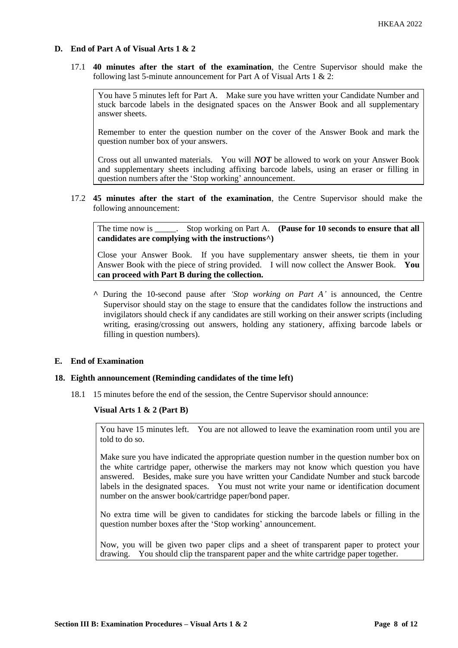# **D. End of Part A of Visual Arts 1 & 2**

17.1 **40 minutes after the start of the examination**, the Centre Supervisor should make the following last 5-minute announcement for Part A of Visual Arts 1 & 2:

You have 5 minutes left for Part A. Make sure you have written your Candidate Number and stuck barcode labels in the designated spaces on the Answer Book and all supplementary answer sheets.

Remember to enter the question number on the cover of the Answer Book and mark the question number box of your answers.

Cross out all unwanted materials. You will *NOT* be allowed to work on your Answer Book and supplementary sheets including affixing barcode labels, using an eraser or filling in question numbers after the 'Stop working' announcement.

17.2 **45 minutes after the start of the examination**, the Centre Supervisor should make the following announcement:

The time now is Stop working on Part A. **(Pause for 10 seconds to ensure that all**  $\blacksquare$ **candidates are complying with the instructions^)**

Close your Answer Book. If you have supplementary answer sheets, tie them in your Answer Book with the piece of string provided. I will now collect the Answer Book. **You can proceed with Part B during the collection.**

**^** During the 10-second pause after *'Stop working on Part A'* is announced, the Centre Supervisor should stay on the stage to ensure that the candidates follow the instructions and invigilators should check if any candidates are still working on their answer scripts (including writing, erasing/crossing out answers, holding any stationery, affixing barcode labels or filling in question numbers).

### **E. End of Examination**

#### **18. Eighth announcement (Reminding candidates of the time left)**

18.1 15 minutes before the end of the session, the Centre Supervisor should announce:

#### **Visual Arts 1 & 2 (Part B)**

You have 15 minutes left. You are not allowed to leave the examination room until you are told to do so.

Make sure you have indicated the appropriate question number in the question number box on the white cartridge paper, otherwise the markers may not know which question you have answered. Besides, make sure you have written your Candidate Number and stuck barcode labels in the designated spaces. You must not write your name or identification document number on the answer book/cartridge paper/bond paper.

No extra time will be given to candidates for sticking the barcode labels or filling in the question number boxes after the 'Stop working' announcement.

Now, you will be given two paper clips and a sheet of transparent paper to protect your drawing. You should clip the transparent paper and the white cartridge paper together.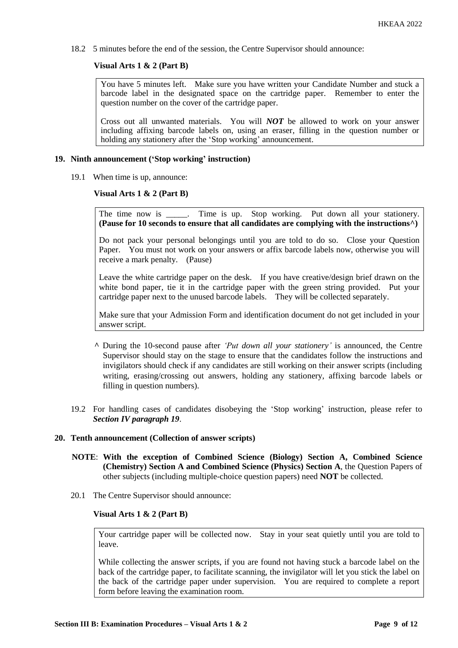18.2 5 minutes before the end of the session, the Centre Supervisor should announce:

# **Visual Arts 1 & 2 (Part B)**

You have 5 minutes left. Make sure you have written your Candidate Number and stuck a barcode label in the designated space on the cartridge paper. Remember to enter the question number on the cover of the cartridge paper.

Cross out all unwanted materials. You will *NOT* be allowed to work on your answer including affixing barcode labels on, using an eraser, filling in the question number or holding any stationery after the 'Stop working' announcement.

### **19. Ninth announcement ('Stop working' instruction)**

19.1 When time is up, announce:

### **Visual Arts 1 & 2 (Part B)**

The time now is Time is up. Stop working. Put down all your stationery. **(Pause for 10 seconds to ensure that all candidates are complying with the instructions^)**

Do not pack your personal belongings until you are told to do so. Close your Question Paper. You must not work on your answers or affix barcode labels now, otherwise you will receive a mark penalty. (Pause)

Leave the white cartridge paper on the desk. If you have creative/design brief drawn on the white bond paper, tie it in the cartridge paper with the green string provided. Put your cartridge paper next to the unused barcode labels. They will be collected separately.

Make sure that your Admission Form and identification document do not get included in your answer script.

- **^** During the 10-second pause after *'Put down all your stationery'* is announced, the Centre Supervisor should stay on the stage to ensure that the candidates follow the instructions and invigilators should check if any candidates are still working on their answer scripts (including writing, erasing/crossing out answers, holding any stationery, affixing barcode labels or filling in question numbers).
- 19.2 For handling cases of candidates disobeying the 'Stop working' instruction, please refer to *Section IV paragraph 19*.

## **20. Tenth announcement (Collection of answer scripts)**

- **NOTE**: **With the exception of Combined Science (Biology) Section A, Combined Science (Chemistry) Section A and Combined Science (Physics) Section A**, the Question Papers of other subjects (including multiple-choice question papers) need **NOT** be collected.
- 20.1 The Centre Supervisor should announce:

### **Visual Arts 1 & 2 (Part B)**

Your cartridge paper will be collected now. Stay in your seat quietly until you are told to leave.

While collecting the answer scripts, if you are found not having stuck a barcode label on the back of the cartridge paper, to facilitate scanning, the invigilator will let you stick the label on the back of the cartridge paper under supervision. You are required to complete a report form before leaving the examination room.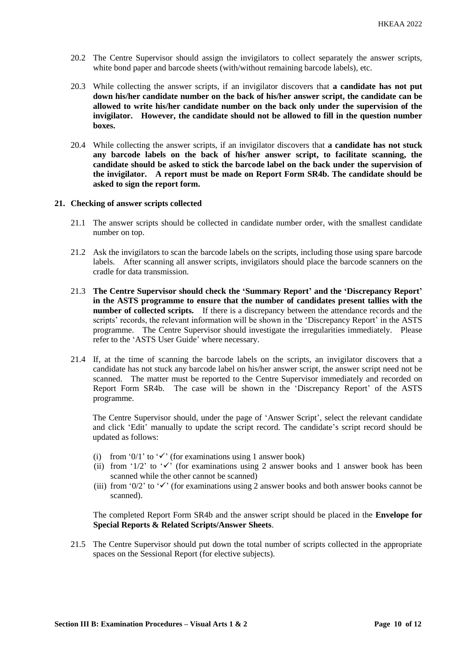- 20.2 The Centre Supervisor should assign the invigilators to collect separately the answer scripts, white bond paper and barcode sheets (with/without remaining barcode labels), etc.
- 20.3 While collecting the answer scripts, if an invigilator discovers that **a candidate has not put down his/her candidate number on the back of his/her answer script, the candidate can be allowed to write his/her candidate number on the back only under the supervision of the invigilator. However, the candidate should not be allowed to fill in the question number boxes.**
- 20.4 While collecting the answer scripts, if an invigilator discovers that **a candidate has not stuck any barcode labels on the back of his/her answer script, to facilitate scanning, the candidate should be asked to stick the barcode label on the back under the supervision of the invigilator. A report must be made on Report Form SR4b. The candidate should be asked to sign the report form.**

#### **21. Checking of answer scripts collected**

- 21.1 The answer scripts should be collected in candidate number order, with the smallest candidate number on top.
- 21.2 Ask the invigilators to scan the barcode labels on the scripts, including those using spare barcode labels. After scanning all answer scripts, invigilators should place the barcode scanners on the cradle for data transmission.
- 21.3 **The Centre Supervisor should check the 'Summary Report' and the 'Discrepancy Report' in the ASTS programme to ensure that the number of candidates present tallies with the number of collected scripts.** If there is a discrepancy between the attendance records and the scripts' records, the relevant information will be shown in the 'Discrepancy Report' in the ASTS programme. The Centre Supervisor should investigate the irregularities immediately. Please refer to the 'ASTS User Guide' where necessary.
- 21.4 If, at the time of scanning the barcode labels on the scripts, an invigilator discovers that a candidate has not stuck any barcode label on his/her answer script, the answer script need not be scanned. The matter must be reported to the Centre Supervisor immediately and recorded on Report Form SR4b. The case will be shown in the 'Discrepancy Report' of the ASTS programme.

The Centre Supervisor should, under the page of 'Answer Script', select the relevant candidate and click 'Edit' manually to update the script record. The candidate's script record should be updated as follows:

- (i) from '0/1' to ' $\checkmark$ ' (for examinations using 1 answer book)
- (ii) from '1/2' to ' $\checkmark$ ' (for examinations using 2 answer books and 1 answer book has been scanned while the other cannot be scanned)
- (iii) from '0/2' to ' $\checkmark$ ' (for examinations using 2 answer books and both answer books cannot be scanned).

The completed Report Form SR4b and the answer script should be placed in the **Envelope for Special Reports & Related Scripts/Answer Sheets**.

21.5 The Centre Supervisor should put down the total number of scripts collected in the appropriate spaces on the Sessional Report (for elective subjects).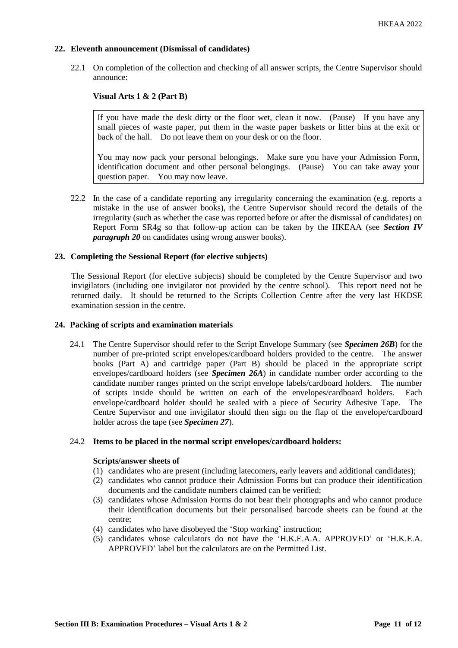# **22. Eleventh announcement (Dismissal of candidates)**

22.1 On completion of the collection and checking of all answer scripts, the Centre Supervisor should announce:

# **Visual Arts 1 & 2 (Part B)**

If you have made the desk dirty or the floor wet, clean it now. (Pause) If you have any small pieces of waste paper, put them in the waste paper baskets or litter bins at the exit or back of the hall. Do not leave them on your desk or on the floor.

You may now pack your personal belongings. Make sure you have your Admission Form, identification document and other personal belongings. (Pause) You can take away your question paper. You may now leave.

22.2 In the case of a candidate reporting any irregularity concerning the examination (e.g. reports a mistake in the use of answer books), the Centre Supervisor should record the details of the irregularity (such as whether the case was reported before or after the dismissal of candidates) on Report Form SR4g so that follow-up action can be taken by the HKEAA (see *Section IV paragraph 20* on candidates using wrong answer books).

# **23. Completing the Sessional Report (for elective subjects)**

The Sessional Report (for elective subjects) should be completed by the Centre Supervisor and two invigilators (including one invigilator not provided by the centre school). This report need not be returned daily. It should be returned to the Scripts Collection Centre after the very last HKDSE examination session in the centre.

### **24. Packing of scripts and examination materials**

24.1 The Centre Supervisor should refer to the Script Envelope Summary (see *Specimen 26B*) for the number of pre-printed script envelopes/cardboard holders provided to the centre. The answer books (Part A) and cartridge paper (Part B) should be placed in the appropriate script envelopes/cardboard holders (see *Specimen 26A*) in candidate number order according to the candidate number ranges printed on the script envelope labels/cardboard holders. The number of scripts inside should be written on each of the envelopes/cardboard holders. Each envelope/cardboard holder should be sealed with a piece of Security Adhesive Tape. The Centre Supervisor and one invigilator should then sign on the flap of the envelope/cardboard holder across the tape (see *Specimen 27*).

# 24.2 **Items to be placed in the normal script envelopes/cardboard holders:**

## **Scripts/answer sheets of**

- (1) candidates who are present (including latecomers, early leavers and additional candidates);
- (2) candidates who cannot produce their Admission Forms but can produce their identification documents and the candidate numbers claimed can be verified;
- (3) candidates whose Admission Forms do not bear their photographs and who cannot produce their identification documents but their personalised barcode sheets can be found at the centre;
- (4) candidates who have disobeyed the 'Stop working' instruction;
- (5) candidates whose calculators do not have the 'H.K.E.A.A. APPROVED' or 'H.K.E.A. APPROVED' label but the calculators are on the Permitted List.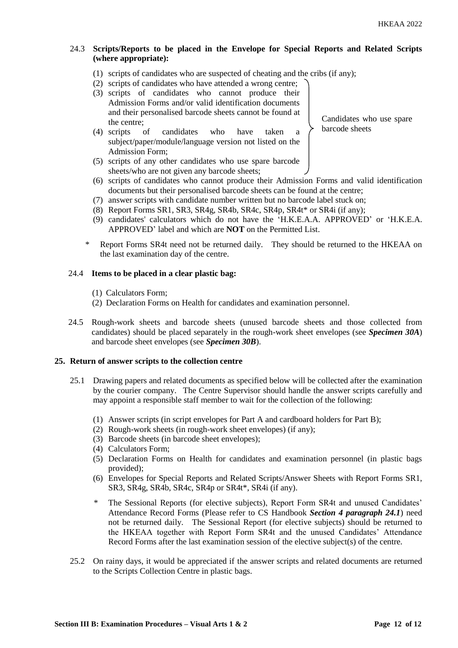# 24.3 **Scripts/Reports to be placed in the Envelope for Special Reports and Related Scripts (where appropriate):**

- (1) scripts of candidates who are suspected of cheating and the cribs (if any);
- (2) scripts of candidates who have attended a wrong centre;
- (3) scripts of candidates who cannot produce their Admission Forms and/or valid identification documents and their personalised barcode sheets cannot be found at the centre;
- (4) scripts of candidates who have taken a subject/paper/module/language version not listed on the Admission Form;
- (5) scripts of any other candidates who use spare barcode sheets/who are not given any barcode sheets;
- Candidates who use spare barcode sheets
- (6) scripts of candidates who cannot produce their Admission Forms and valid identification documents but their personalised barcode sheets can be found at the centre;
- (7) answer scripts with candidate number written but no barcode label stuck on;
- (8) Report Forms SR1, SR3, SR4g, SR4b, SR4c, SR4p, SR4t\* or SR4i (if any);
- (9) candidates' calculators which do not have the 'H.K.E.A.A. APPROVED' or 'H.K.E.A. APPROVED' label and which are **NOT** on the Permitted List.
- Report Forms SR4t need not be returned daily. They should be returned to the HKEAA on the last examination day of the centre.

### 24.4 **Items to be placed in a clear plastic bag:**

- (1) Calculators Form;
- (2) Declaration Forms on Health for candidates and examination personnel.
- 24.5 Rough-work sheets and barcode sheets (unused barcode sheets and those collected from candidates) should be placed separately in the rough-work sheet envelopes (see *Specimen 30A*) and barcode sheet envelopes (see *Specimen 30B*).

## **25. Return of answer scripts to the collection centre**

- 25.1 Drawing papers and related documents as specified below will be collected after the examination by the courier company. The Centre Supervisor should handle the answer scripts carefully and may appoint a responsible staff member to wait for the collection of the following:
	- (1) Answer scripts (in script envelopes for Part A and cardboard holders for Part B);
	- (2) Rough-work sheets (in rough-work sheet envelopes) (if any);
	- (3) Barcode sheets (in barcode sheet envelopes);
	- (4) Calculators Form;
	- (5) Declaration Forms on Health for candidates and examination personnel (in plastic bags provided);
	- (6) Envelopes for Special Reports and Related Scripts/Answer Sheets with Report Forms SR1, SR3, SR4g, SR4b, SR4c, SR4p or SR4t\*, SR4i (if any).
	- \* The Sessional Reports (for elective subjects), Report Form SR4t and unused Candidates' Attendance Record Forms (Please refer to CS Handbook *Section 4 paragraph 24.1*) need not be returned daily. The Sessional Report (for elective subjects) should be returned to the HKEAA together with Report Form SR4t and the unused Candidates' Attendance Record Forms after the last examination session of the elective subject(s) of the centre.
- 25.2 On rainy days, it would be appreciated if the answer scripts and related documents are returned to the Scripts Collection Centre in plastic bags.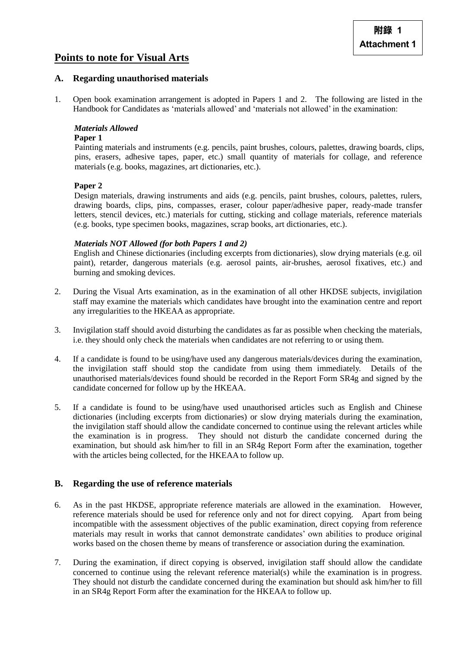# **Points to note for Visual Arts**

# **A. Regarding unauthorised materials**

1. Open book examination arrangement is adopted in Papers 1 and 2. The following are listed in the Handbook for Candidates as 'materials allowed' and 'materials not allowed' in the examination:

# *Materials Allowed*

### **Paper 1**

Painting materials and instruments (e.g. pencils, paint brushes, colours, palettes, drawing boards, clips, pins, erasers, adhesive tapes, paper, etc.) small quantity of materials for collage, and reference materials (e.g. books, magazines, art dictionaries, etc.).

# **Paper 2**

Design materials, drawing instruments and aids (e.g. pencils, paint brushes, colours, palettes, rulers, drawing boards, clips, pins, compasses, eraser, colour paper/adhesive paper, ready-made transfer letters, stencil devices, etc.) materials for cutting, sticking and collage materials, reference materials (e.g. books, type specimen books, magazines, scrap books, art dictionaries, etc.).

# *Materials NOT Allowed (for both Papers 1 and 2)*

English and Chinese dictionaries (including excerpts from dictionaries), slow drying materials (e.g. oil paint), retarder, dangerous materials (e.g. aerosol paints, air-brushes, aerosol fixatives, etc.) and burning and smoking devices.

- 2. During the Visual Arts examination, as in the examination of all other HKDSE subjects, invigilation staff may examine the materials which candidates have brought into the examination centre and report any irregularities to the HKEAA as appropriate.
- 3. Invigilation staff should avoid disturbing the candidates as far as possible when checking the materials, i.e. they should only check the materials when candidates are not referring to or using them.
- 4. If a candidate is found to be using/have used any dangerous materials/devices during the examination, the invigilation staff should stop the candidate from using them immediately. Details of the unauthorised materials/devices found should be recorded in the Report Form SR4g and signed by the candidate concerned for follow up by the HKEAA.
- 5. If a candidate is found to be using/have used unauthorised articles such as English and Chinese dictionaries (including excerpts from dictionaries) or slow drying materials during the examination, the invigilation staff should allow the candidate concerned to continue using the relevant articles while the examination is in progress. They should not disturb the candidate concerned during the examination, but should ask him/her to fill in an SR4g Report Form after the examination, together with the articles being collected, for the HKEAA to follow up.

# **B. Regarding the use of reference materials**

- 6. As in the past HKDSE, appropriate reference materials are allowed in the examination. However, reference materials should be used for reference only and not for direct copying. Apart from being incompatible with the assessment objectives of the public examination, direct copying from reference materials may result in works that cannot demonstrate candidates' own abilities to produce original works based on the chosen theme by means of transference or association during the examination.
- 7. During the examination, if direct copying is observed, invigilation staff should allow the candidate concerned to continue using the relevant reference material(s) while the examination is in progress. They should not disturb the candidate concerned during the examination but should ask him/her to fill in an SR4g Report Form after the examination for the HKEAA to follow up.